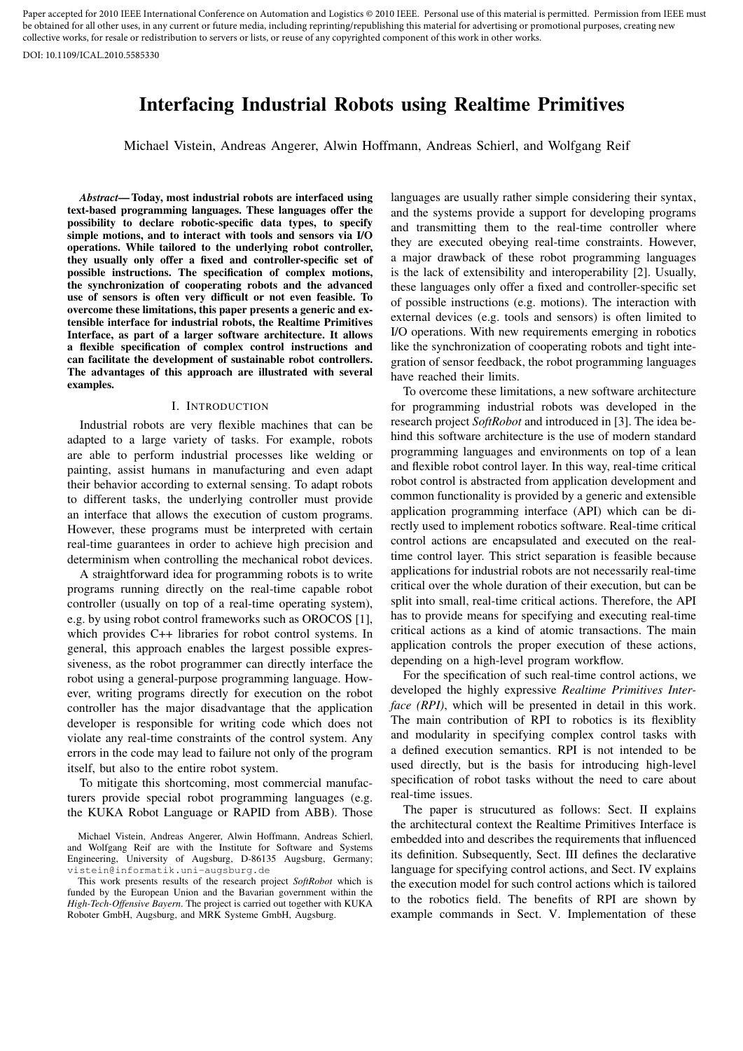Paper accepted for 2010 IEEE International Conference on Automation and Logistics © 2010 IEEE. Personal use of this material is permitted. Permission from IEEE must be obtained for all other uses, in any current or future media, including reprinting/republishing this material for advertising or promotional purposes, creating new collective works, for resale or redistribution to servers or lists, or reuse of any copyrighted component of this work in other works.

DOI: 10.1109/ICAL.2010.5585330

# Interfacing Industrial Robots using Realtime Primitives

Michael Vistein, Andreas Angerer, Alwin Hoffmann, Andreas Schierl, and Wolfgang Reif

*Abstract*— Today, most industrial robots are interfaced using text-based programming languages. These languages offer the possibility to declare robotic-specific data types, to specify simple motions, and to interact with tools and sensors via I/O operations. While tailored to the underlying robot controller, they usually only offer a fixed and controller-specific set of possible instructions. The specification of complex motions, the synchronization of cooperating robots and the advanced use of sensors is often very difficult or not even feasible. To overcome these limitations, this paper presents a generic and extensible interface for industrial robots, the Realtime Primitives Interface, as part of a larger software architecture. It allows a flexible specification of complex control instructions and can facilitate the development of sustainable robot controllers. The advantages of this approach are illustrated with several examples.

## I. INTRODUCTION

Industrial robots are very flexible machines that can be adapted to a large variety of tasks. For example, robots are able to perform industrial processes like welding or painting, assist humans in manufacturing and even adapt their behavior according to external sensing. To adapt robots to different tasks, the underlying controller must provide an interface that allows the execution of custom programs. However, these programs must be interpreted with certain real-time guarantees in order to achieve high precision and determinism when controlling the mechanical robot devices.

A straightforward idea for programming robots is to write programs running directly on the real-time capable robot controller (usually on top of a real-time operating system), e.g. by using robot control frameworks such as OROCOS [1], which provides C++ libraries for robot control systems. In general, this approach enables the largest possible expressiveness, as the robot programmer can directly interface the robot using a general-purpose programming language. However, writing programs directly for execution on the robot controller has the major disadvantage that the application developer is responsible for writing code which does not violate any real-time constraints of the control system. Any errors in the code may lead to failure not only of the program itself, but also to the entire robot system.

To mitigate this shortcoming, most commercial manufacturers provide special robot programming languages (e.g. the KUKA Robot Language or RAPID from ABB). Those languages are usually rather simple considering their syntax, and the systems provide a support for developing programs and transmitting them to the real-time controller where they are executed obeying real-time constraints. However, a major drawback of these robot programming languages is the lack of extensibility and interoperability [2]. Usually, these languages only offer a fixed and controller-specific set of possible instructions (e.g. motions). The interaction with external devices (e.g. tools and sensors) is often limited to I/O operations. With new requirements emerging in robotics like the synchronization of cooperating robots and tight integration of sensor feedback, the robot programming languages have reached their limits.

To overcome these limitations, a new software architecture for programming industrial robots was developed in the research project *SoftRobot* and introduced in [3]. The idea behind this software architecture is the use of modern standard programming languages and environments on top of a lean and flexible robot control layer. In this way, real-time critical robot control is abstracted from application development and common functionality is provided by a generic and extensible application programming interface (API) which can be directly used to implement robotics software. Real-time critical control actions are encapsulated and executed on the realtime control layer. This strict separation is feasible because applications for industrial robots are not necessarily real-time critical over the whole duration of their execution, but can be split into small, real-time critical actions. Therefore, the API has to provide means for specifying and executing real-time critical actions as a kind of atomic transactions. The main application controls the proper execution of these actions, depending on a high-level program workflow.

For the specification of such real-time control actions, we developed the highly expressive *Realtime Primitives Interface (RPI)*, which will be presented in detail in this work. The main contribution of RPI to robotics is its flexiblity and modularity in specifying complex control tasks with a defined execution semantics. RPI is not intended to be used directly, but is the basis for introducing high-level specification of robot tasks without the need to care about real-time issues.

The paper is strucutured as follows: Sect. II explains the architectural context the Realtime Primitives Interface is embedded into and describes the requirements that influenced its definition. Subsequently, Sect. III defines the declarative language for specifying control actions, and Sect. IV explains the execution model for such control actions which is tailored to the robotics field. The benefits of RPI are shown by example commands in Sect. V. Implementation of these

Michael Vistein, Andreas Angerer, Alwin Hoffmann, Andreas Schierl, and Wolfgang Reif are with the Institute for Software and Systems Engineering, University of Augsburg, D-86135 Augsburg, Germany; vistein@informatik.uni-augsburg.de

This work presents results of the research project *SoftRobot* which is funded by the European Union and the Bavarian government within the *High-Tech-Offensive Bayern*. The project is carried out together with KUKA Roboter GmbH, Augsburg, and MRK Systeme GmbH, Augsburg.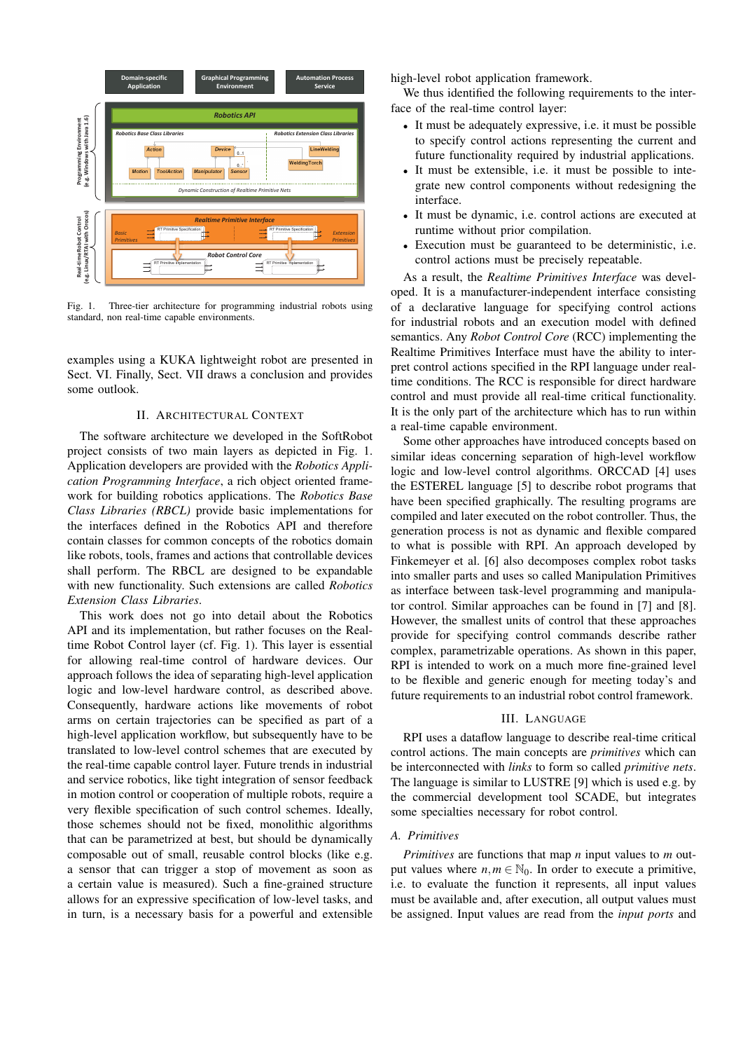

Fig. 1. Three-tier architecture for programming industrial robots using standard, non real-time capable environments.

examples using a KUKA lightweight robot are presented in Sect. VI. Finally, Sect. VII draws a conclusion and provides some outlook.

## II. ARCHITECTURAL CONTEXT

The software architecture we developed in the SoftRobot project consists of two main layers as depicted in Fig. 1. Application developers are provided with the *Robotics Application Programming Interface*, a rich object oriented framework for building robotics applications. The *Robotics Base Class Libraries (RBCL)* provide basic implementations for the interfaces defined in the Robotics API and therefore contain classes for common concepts of the robotics domain like robots, tools, frames and actions that controllable devices shall perform. The RBCL are designed to be expandable with new functionality. Such extensions are called *Robotics Extension Class Libraries*.

This work does not go into detail about the Robotics API and its implementation, but rather focuses on the Realtime Robot Control layer (cf. Fig. 1). This layer is essential for allowing real-time control of hardware devices. Our approach follows the idea of separating high-level application logic and low-level hardware control, as described above. Consequently, hardware actions like movements of robot arms on certain trajectories can be specified as part of a high-level application workflow, but subsequently have to be translated to low-level control schemes that are executed by the real-time capable control layer. Future trends in industrial and service robotics, like tight integration of sensor feedback in motion control or cooperation of multiple robots, require a very flexible specification of such control schemes. Ideally, those schemes should not be fixed, monolithic algorithms that can be parametrized at best, but should be dynamically composable out of small, reusable control blocks (like e.g. a sensor that can trigger a stop of movement as soon as a certain value is measured). Such a fine-grained structure allows for an expressive specification of low-level tasks, and in turn, is a necessary basis for a powerful and extensible

high-level robot application framework.

We thus identified the following requirements to the interface of the real-time control layer:

- It must be adequately expressive, i.e. it must be possible to specify control actions representing the current and future functionality required by industrial applications.
- It must be extensible, i.e. it must be possible to integrate new control components without redesigning the interface.
- It must be dynamic, i.e. control actions are executed at runtime without prior compilation.
- Execution must be guaranteed to be deterministic, i.e. control actions must be precisely repeatable.

As a result, the *Realtime Primitives Interface* was developed. It is a manufacturer-independent interface consisting of a declarative language for specifying control actions for industrial robots and an execution model with defined semantics. Any *Robot Control Core* (RCC) implementing the Realtime Primitives Interface must have the ability to interpret control actions specified in the RPI language under realtime conditions. The RCC is responsible for direct hardware control and must provide all real-time critical functionality. It is the only part of the architecture which has to run within a real-time capable environment.

Some other approaches have introduced concepts based on similar ideas concerning separation of high-level workflow logic and low-level control algorithms. ORCCAD [4] uses the ESTEREL language [5] to describe robot programs that have been specified graphically. The resulting programs are compiled and later executed on the robot controller. Thus, the generation process is not as dynamic and flexible compared to what is possible with RPI. An approach developed by Finkemeyer et al. [6] also decomposes complex robot tasks into smaller parts and uses so called Manipulation Primitives as interface between task-level programming and manipulator control. Similar approaches can be found in [7] and [8]. However, the smallest units of control that these approaches provide for specifying control commands describe rather complex, parametrizable operations. As shown in this paper, RPI is intended to work on a much more fine-grained level to be flexible and generic enough for meeting today's and future requirements to an industrial robot control framework.

### III. LANGUAGE

RPI uses a dataflow language to describe real-time critical control actions. The main concepts are *primitives* which can be interconnected with *links* to form so called *primitive nets*. The language is similar to LUSTRE [9] which is used e.g. by the commercial development tool SCADE, but integrates some specialties necessary for robot control.

#### *A. Primitives*

*Primitives* are functions that map *n* input values to *m* output values where  $n, m \in \mathbb{N}_0$ . In order to execute a primitive, i.e. to evaluate the function it represents, all input values must be available and, after execution, all output values must be assigned. Input values are read from the *input ports* and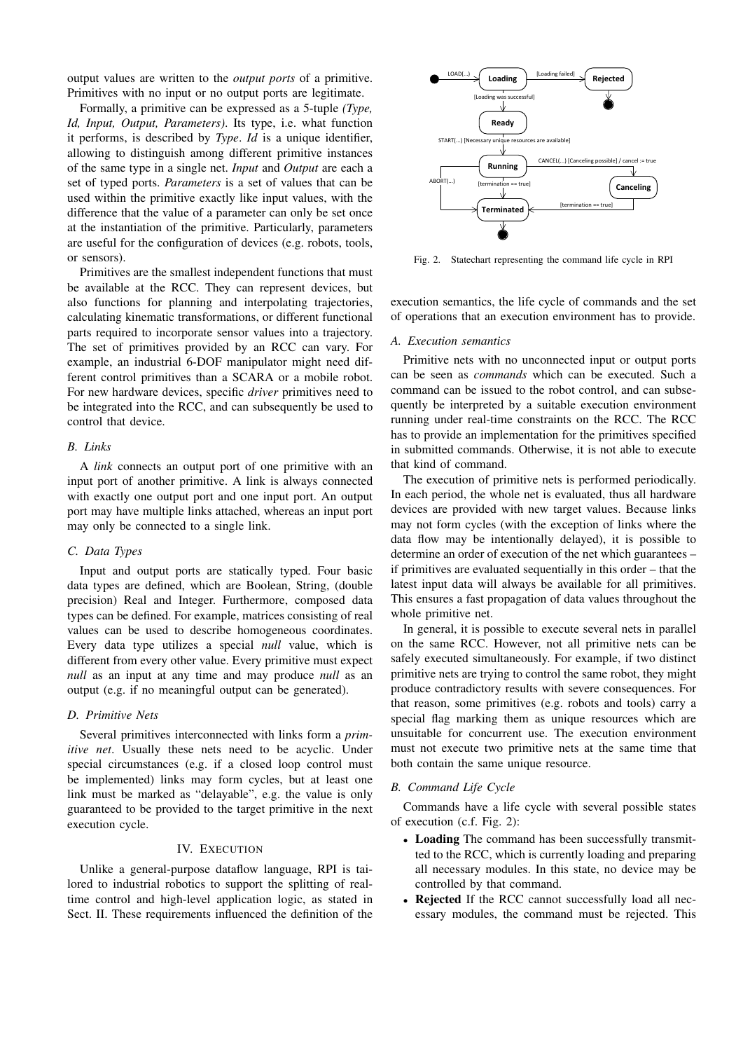output values are written to the *output ports* of a primitive. Primitives with no input or no output ports are legitimate.

Formally, a primitive can be expressed as a 5-tuple *(Type, Id, Input, Output, Parameters)*. Its type, i.e. what function it performs, is described by *Type*. *Id* is a unique identifier, allowing to distinguish among different primitive instances of the same type in a single net. *Input* and *Output* are each a set of typed ports. *Parameters* is a set of values that can be used within the primitive exactly like input values, with the difference that the value of a parameter can only be set once at the instantiation of the primitive. Particularly, parameters are useful for the configuration of devices (e.g. robots, tools, or sensors).

Primitives are the smallest independent functions that must be available at the RCC. They can represent devices, but also functions for planning and interpolating trajectories, calculating kinematic transformations, or different functional parts required to incorporate sensor values into a trajectory. The set of primitives provided by an RCC can vary. For example, an industrial 6-DOF manipulator might need different control primitives than a SCARA or a mobile robot. For new hardware devices, specific *driver* primitives need to be integrated into the RCC, and can subsequently be used to control that device.

## *B. Links*

A *link* connects an output port of one primitive with an input port of another primitive. A link is always connected with exactly one output port and one input port. An output port may have multiple links attached, whereas an input port may only be connected to a single link.

## *C. Data Types*

Input and output ports are statically typed. Four basic data types are defined, which are Boolean, String, (double precision) Real and Integer. Furthermore, composed data types can be defined. For example, matrices consisting of real values can be used to describe homogeneous coordinates. Every data type utilizes a special *null* value, which is different from every other value. Every primitive must expect *null* as an input at any time and may produce *null* as an output (e.g. if no meaningful output can be generated).

## *D. Primitive Nets*

Several primitives interconnected with links form a *primitive net*. Usually these nets need to be acyclic. Under special circumstances (e.g. if a closed loop control must be implemented) links may form cycles, but at least one link must be marked as "delayable", e.g. the value is only guaranteed to be provided to the target primitive in the next execution cycle.

#### IV. EXECUTION

Unlike a general-purpose dataflow language, RPI is tailored to industrial robotics to support the splitting of realtime control and high-level application logic, as stated in Sect. II. These requirements influenced the definition of the



Fig. 2. Statechart representing the command life cycle in RPI

execution semantics, the life cycle of commands and the set of operations that an execution environment has to provide.

#### *A. Execution semantics*

Primitive nets with no unconnected input or output ports can be seen as *commands* which can be executed. Such a command can be issued to the robot control, and can subsequently be interpreted by a suitable execution environment running under real-time constraints on the RCC. The RCC has to provide an implementation for the primitives specified in submitted commands. Otherwise, it is not able to execute that kind of command.

The execution of primitive nets is performed periodically. In each period, the whole net is evaluated, thus all hardware devices are provided with new target values. Because links may not form cycles (with the exception of links where the data flow may be intentionally delayed), it is possible to determine an order of execution of the net which guarantees – if primitives are evaluated sequentially in this order – that the latest input data will always be available for all primitives. This ensures a fast propagation of data values throughout the whole primitive net.

In general, it is possible to execute several nets in parallel on the same RCC. However, not all primitive nets can be safely executed simultaneously. For example, if two distinct primitive nets are trying to control the same robot, they might produce contradictory results with severe consequences. For that reason, some primitives (e.g. robots and tools) carry a special flag marking them as unique resources which are unsuitable for concurrent use. The execution environment must not execute two primitive nets at the same time that both contain the same unique resource.

## *B. Command Life Cycle*

Commands have a life cycle with several possible states of execution (c.f. Fig. 2):

- Loading The command has been successfully transmitted to the RCC, which is currently loading and preparing all necessary modules. In this state, no device may be controlled by that command.
- Rejected If the RCC cannot successfully load all necessary modules, the command must be rejected. This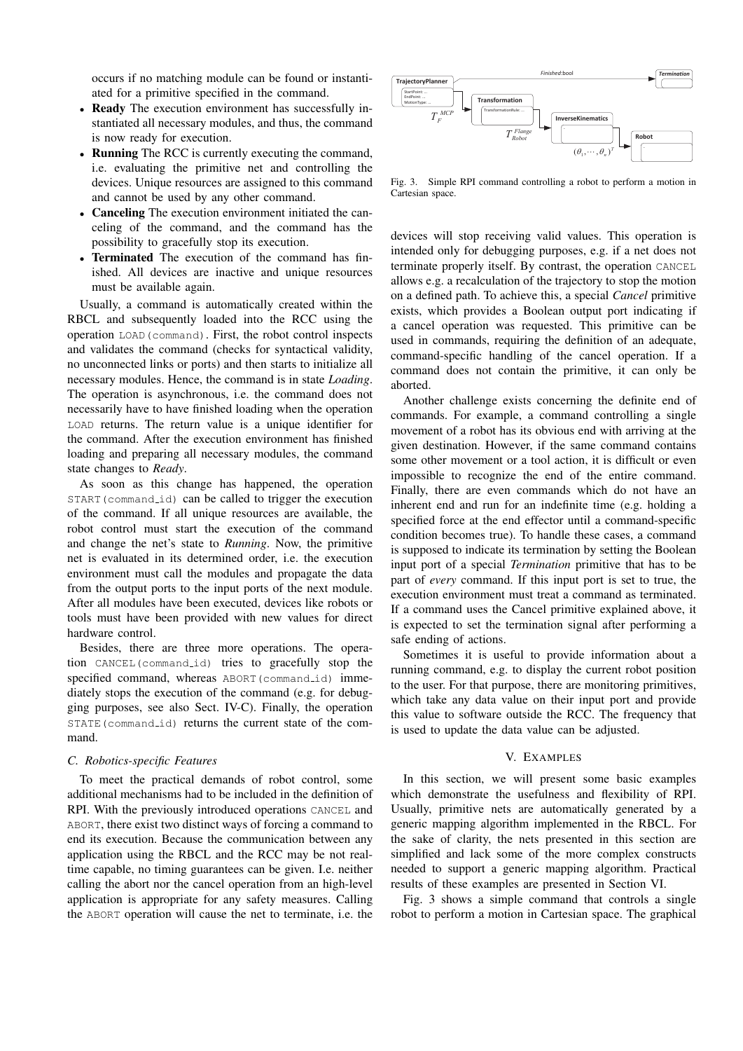occurs if no matching module can be found or instantiated for a primitive specified in the command.

- Ready The execution environment has successfully instantiated all necessary modules, and thus, the command is now ready for execution.
- **Running** The RCC is currently executing the command, i.e. evaluating the primitive net and controlling the devices. Unique resources are assigned to this command and cannot be used by any other command.
- Canceling The execution environment initiated the canceling of the command, and the command has the possibility to gracefully stop its execution.
- Terminated The execution of the command has finished. All devices are inactive and unique resources must be available again.

Usually, a command is automatically created within the RBCL and subsequently loaded into the RCC using the operation LOAD(command). First, the robot control inspects and validates the command (checks for syntactical validity, no unconnected links or ports) and then starts to initialize all necessary modules. Hence, the command is in state *Loading*. The operation is asynchronous, i.e. the command does not necessarily have to have finished loading when the operation LOAD returns. The return value is a unique identifier for the command. After the execution environment has finished loading and preparing all necessary modules, the command state changes to *Ready*.

As soon as this change has happened, the operation START(command id) can be called to trigger the execution of the command. If all unique resources are available, the robot control must start the execution of the command and change the net's state to *Running*. Now, the primitive net is evaluated in its determined order, i.e. the execution environment must call the modules and propagate the data from the output ports to the input ports of the next module. After all modules have been executed, devices like robots or tools must have been provided with new values for direct hardware control.

Besides, there are three more operations. The operation CANCEL(command id) tries to gracefully stop the specified command, whereas ABORT(command\_id) immediately stops the execution of the command (e.g. for debugging purposes, see also Sect. IV-C). Finally, the operation STATE(command id) returns the current state of the command.

### *C. Robotics-specific Features*

To meet the practical demands of robot control, some additional mechanisms had to be included in the definition of RPI. With the previously introduced operations CANCEL and ABORT, there exist two distinct ways of forcing a command to end its execution. Because the communication between any application using the RBCL and the RCC may be not realtime capable, no timing guarantees can be given. I.e. neither calling the abort nor the cancel operation from an high-level application is appropriate for any safety measures. Calling the ABORT operation will cause the net to terminate, i.e. the



Fig. 3. Simple RPI command controlling a robot to perform a motion in Cartesian space.

devices will stop receiving valid values. This operation is intended only for debugging purposes, e.g. if a net does not terminate properly itself. By contrast, the operation CANCEL allows e.g. a recalculation of the trajectory to stop the motion on a defined path. To achieve this, a special *Cancel* primitive exists, which provides a Boolean output port indicating if a cancel operation was requested. This primitive can be used in commands, requiring the definition of an adequate, command-specific handling of the cancel operation. If a command does not contain the primitive, it can only be aborted.

Another challenge exists concerning the definite end of commands. For example, a command controlling a single movement of a robot has its obvious end with arriving at the given destination. However, if the same command contains some other movement or a tool action, it is difficult or even impossible to recognize the end of the entire command. Finally, there are even commands which do not have an inherent end and run for an indefinite time (e.g. holding a specified force at the end effector until a command-specific condition becomes true). To handle these cases, a command is supposed to indicate its termination by setting the Boolean input port of a special *Termination* primitive that has to be part of *every* command. If this input port is set to true, the execution environment must treat a command as terminated. If a command uses the Cancel primitive explained above, it is expected to set the termination signal after performing a safe ending of actions.

Sometimes it is useful to provide information about a running command, e.g. to display the current robot position to the user. For that purpose, there are monitoring primitives, which take any data value on their input port and provide this value to software outside the RCC. The frequency that is used to update the data value can be adjusted.

#### V. EXAMPLES

In this section, we will present some basic examples which demonstrate the usefulness and flexibility of RPI. Usually, primitive nets are automatically generated by a generic mapping algorithm implemented in the RBCL. For the sake of clarity, the nets presented in this section are simplified and lack some of the more complex constructs needed to support a generic mapping algorithm. Practical results of these examples are presented in Section VI.

Fig. 3 shows a simple command that controls a single robot to perform a motion in Cartesian space. The graphical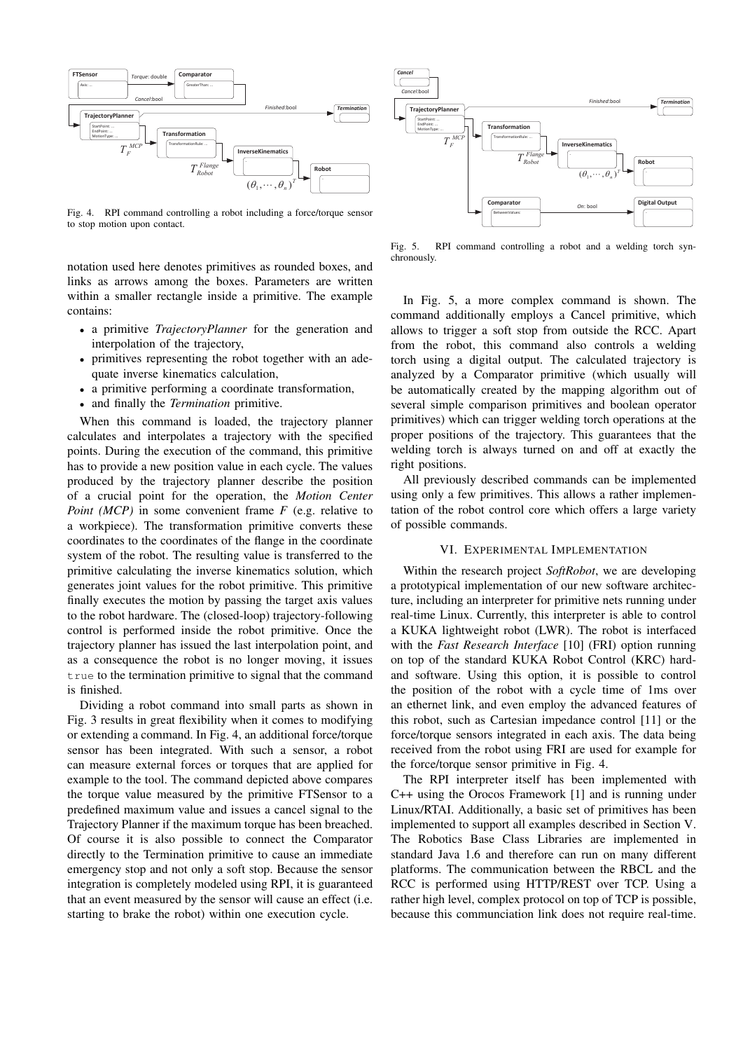

Fig. 4. RPI command controlling a robot including a force/torque sensor to stop motion upon contact.

notation used here denotes primitives as rounded boxes, and links as arrows among the boxes. Parameters are written within a smaller rectangle inside a primitive. The example contains:

- a primitive *TrajectoryPlanner* for the generation and interpolation of the trajectory,
- primitives representing the robot together with an adequate inverse kinematics calculation,
- a primitive performing a coordinate transformation,
- and finally the *Termination* primitive.

When this command is loaded, the trajectory planner calculates and interpolates a trajectory with the specified points. During the execution of the command, this primitive has to provide a new position value in each cycle. The values produced by the trajectory planner describe the position of a crucial point for the operation, the *Motion Center Point (MCP)* in some convenient frame *F* (e.g. relative to a workpiece). The transformation primitive converts these coordinates to the coordinates of the flange in the coordinate system of the robot. The resulting value is transferred to the primitive calculating the inverse kinematics solution, which generates joint values for the robot primitive. This primitive finally executes the motion by passing the target axis values to the robot hardware. The (closed-loop) trajectory-following control is performed inside the robot primitive. Once the trajectory planner has issued the last interpolation point, and as a consequence the robot is no longer moving, it issues true to the termination primitive to signal that the command is finished.

Dividing a robot command into small parts as shown in Fig. 3 results in great flexibility when it comes to modifying or extending a command. In Fig. 4, an additional force/torque sensor has been integrated. With such a sensor, a robot can measure external forces or torques that are applied for example to the tool. The command depicted above compares the torque value measured by the primitive FTSensor to a predefined maximum value and issues a cancel signal to the Trajectory Planner if the maximum torque has been breached. Of course it is also possible to connect the Comparator directly to the Termination primitive to cause an immediate emergency stop and not only a soft stop. Because the sensor integration is completely modeled using RPI, it is guaranteed that an event measured by the sensor will cause an effect (i.e. starting to brake the robot) within one execution cycle.



Fig. 5. RPI command controlling a robot and a welding torch synchronously.

In Fig. 5, a more complex command is shown. The command additionally employs a Cancel primitive, which allows to trigger a soft stop from outside the RCC. Apart from the robot, this command also controls a welding torch using a digital output. The calculated trajectory is analyzed by a Comparator primitive (which usually will be automatically created by the mapping algorithm out of several simple comparison primitives and boolean operator primitives) which can trigger welding torch operations at the proper positions of the trajectory. This guarantees that the welding torch is always turned on and off at exactly the right positions.

All previously described commands can be implemented using only a few primitives. This allows a rather implementation of the robot control core which offers a large variety of possible commands.

## VI. EXPERIMENTAL IMPLEMENTATION

Within the research project *SoftRobot*, we are developing a prototypical implementation of our new software architecture, including an interpreter for primitive nets running under real-time Linux. Currently, this interpreter is able to control a KUKA lightweight robot (LWR). The robot is interfaced with the *Fast Research Interface* [10] (FRI) option running on top of the standard KUKA Robot Control (KRC) hardand software. Using this option, it is possible to control the position of the robot with a cycle time of 1ms over an ethernet link, and even employ the advanced features of this robot, such as Cartesian impedance control [11] or the force/torque sensors integrated in each axis. The data being received from the robot using FRI are used for example for the force/torque sensor primitive in Fig. 4.

The RPI interpreter itself has been implemented with C++ using the Orocos Framework [1] and is running under Linux/RTAI. Additionally, a basic set of primitives has been implemented to support all examples described in Section V. The Robotics Base Class Libraries are implemented in standard Java 1.6 and therefore can run on many different platforms. The communication between the RBCL and the RCC is performed using HTTP/REST over TCP. Using a rather high level, complex protocol on top of TCP is possible, because this communciation link does not require real-time.